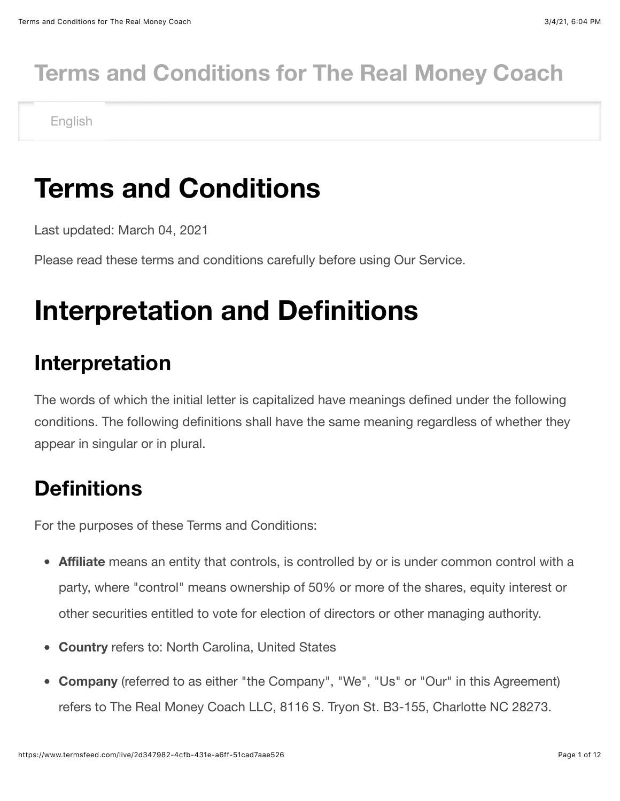### **Terms and Conditions for The Real Money Coach**

English

### **Terms and Conditions**

Last updated: March 04, 2021

Please read these terms and conditions carefully before using Our Service.

### **Interpretation and Definitions**

#### **Interpretation**

The words of which the initial letter is capitalized have meanings defined under the following conditions. The following definitions shall have the same meaning regardless of whether they appear in singular or in plural.

#### **Definitions**

For the purposes of these Terms and Conditions:

- **Affiliate** means an entity that controls, is controlled by or is under common control with a party, where "control" means ownership of 50% or more of the shares, equity interest or other securities entitled to vote for election of directors or other managing authority.
- **Country** refers to: North Carolina, United States
- **Company** (referred to as either "the Company", "We", "Us" or "Our" in this Agreement) refers to The Real Money Coach LLC, 8116 S. Tryon St. B3-155, Charlotte NC 28273.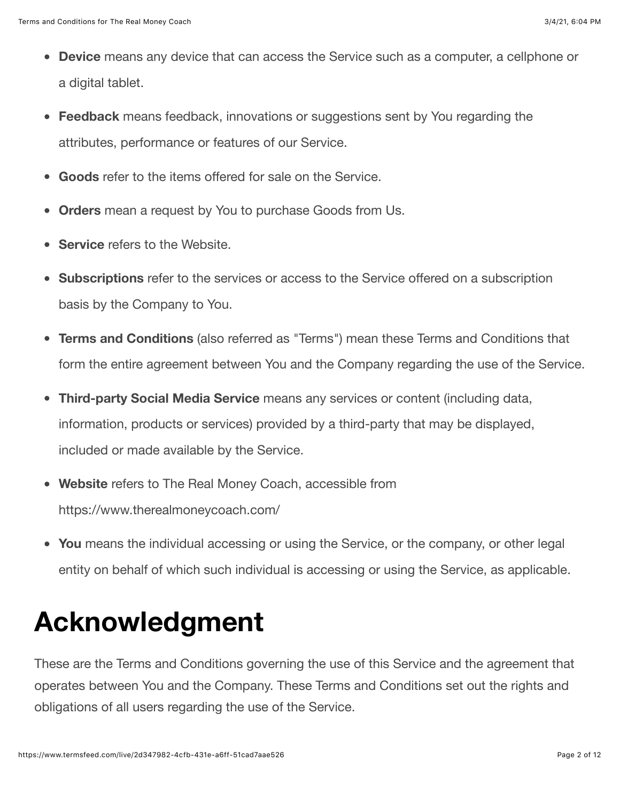- **Device** means any device that can access the Service such as a computer, a cellphone or a digital tablet.
- **Feedback** means feedback, innovations or suggestions sent by You regarding the attributes, performance or features of our Service.
- **Goods** refer to the items offered for sale on the Service.
- **Orders** mean a request by You to purchase Goods from Us.
- **Service** refers to the Website.
- **Subscriptions** refer to the services or access to the Service offered on a subscription  $\bullet$ basis by the Company to You.
- **Terms and Conditions** (also referred as "Terms") mean these Terms and Conditions that form the entire agreement between You and the Company regarding the use of the Service.
- $\bullet$ **Third-party Social Media Service** means any services or content (including data, information, products or services) provided by a third-party that may be displayed, included or made available by the Service.
- **Website** refers to The Real Money Coach, accessible from  $\bullet$ <https://www.therealmoneycoach.com/>
- **You** means the individual accessing or using the Service, or the company, or other legal entity on behalf of which such individual is accessing or using the Service, as applicable.

### **Acknowledgment**

These are the Terms and Conditions governing the use of this Service and the agreement that operates between You and the Company. These Terms and Conditions set out the rights and obligations of all users regarding the use of the Service.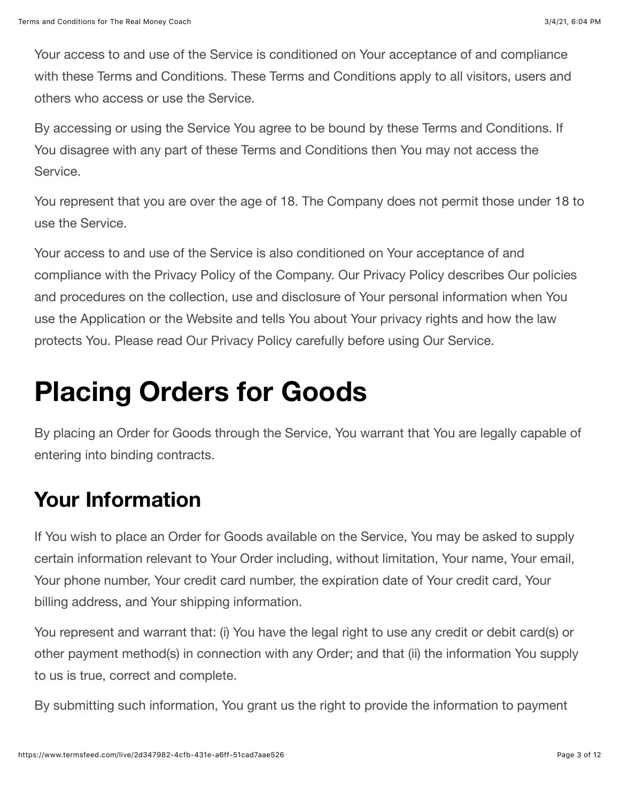Your access to and use of the Service is conditioned on Your acceptance of and compliance with these Terms and Conditions. These Terms and Conditions apply to all visitors, users and others who access or use the Service.

By accessing or using the Service You agree to be bound by these Terms and Conditions. If You disagree with any part of these Terms and Conditions then You may not access the Service.

You represent that you are over the age of 18. The Company does not permit those under 18 to use the Service.

Your access to and use of the Service is also conditioned on Your acceptance of and compliance with the Privacy Policy of the Company. Our Privacy Policy describes Our policies and procedures on the collection, use and disclosure of Your personal information when You use the Application or the Website and tells You about Your privacy rights and how the law protects You. Please read Our Privacy Policy carefully before using Our Service.

### **Placing Orders for Goods**

By placing an Order for Goods through the Service, You warrant that You are legally capable of entering into binding contracts.

#### **Your Information**

If You wish to place an Order for Goods available on the Service, You may be asked to supply certain information relevant to Your Order including, without limitation, Your name, Your email, Your phone number, Your credit card number, the expiration date of Your credit card, Your billing address, and Your shipping information.

You represent and warrant that: (i) You have the legal right to use any credit or debit card(s) or other payment method(s) in connection with any Order; and that (ii) the information You supply to us is true, correct and complete.

By submitting such information, You grant us the right to provide the information to payment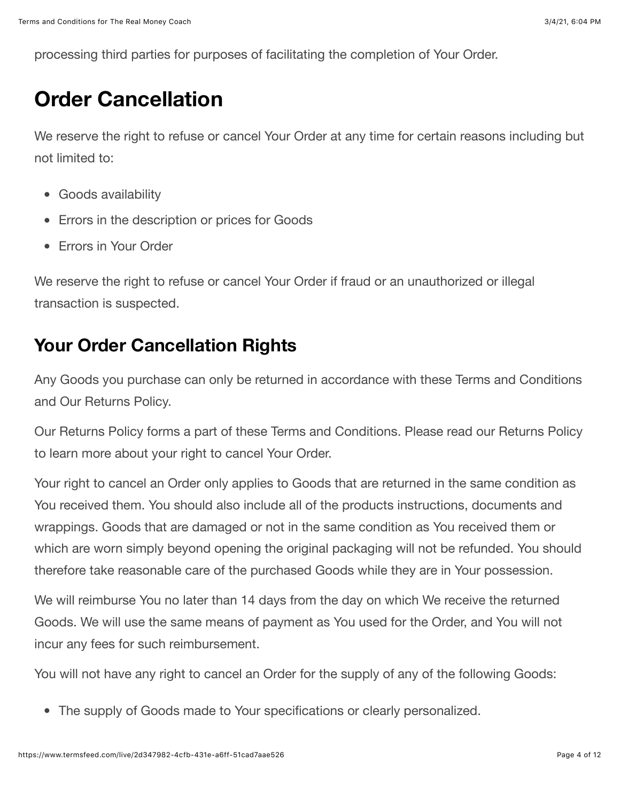processing third parties for purposes of facilitating the completion of Your Order.

#### **Order Cancellation**

We reserve the right to refuse or cancel Your Order at any time for certain reasons including but not limited to:

- Goods availability
- Errors in the description or prices for Goods
- **Frrors in Your Order**

We reserve the right to refuse or cancel Your Order if fraud or an unauthorized or illegal transaction is suspected.

#### **Your Order Cancellation Rights**

Any Goods you purchase can only be returned in accordance with these Terms and Conditions and Our Returns Policy.

Our Returns Policy forms a part of these Terms and Conditions. Please read our Returns Policy to learn more about your right to cancel Your Order.

Your right to cancel an Order only applies to Goods that are returned in the same condition as You received them. You should also include all of the products instructions, documents and wrappings. Goods that are damaged or not in the same condition as You received them or which are worn simply beyond opening the original packaging will not be refunded. You should therefore take reasonable care of the purchased Goods while they are in Your possession.

We will reimburse You no later than 14 days from the day on which We receive the returned Goods. We will use the same means of payment as You used for the Order, and You will not incur any fees for such reimbursement.

You will not have any right to cancel an Order for the supply of any of the following Goods:

The supply of Goods made to Your specifications or clearly personalized.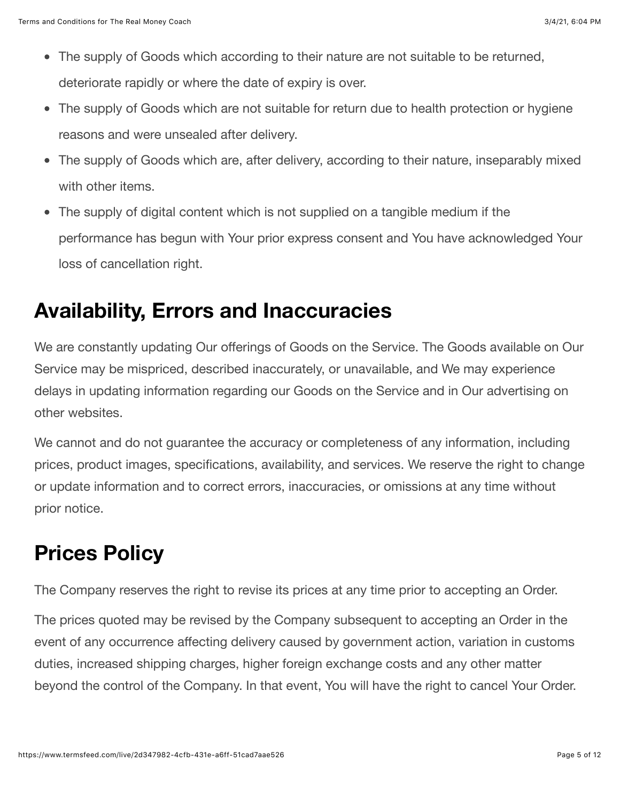- The supply of Goods which according to their nature are not suitable to be returned, deteriorate rapidly or where the date of expiry is over.
- The supply of Goods which are not suitable for return due to health protection or hygiene reasons and were unsealed after delivery.
- The supply of Goods which are, after delivery, according to their nature, inseparably mixed with other items.
- The supply of digital content which is not supplied on a tangible medium if the  $\bullet$ performance has begun with Your prior express consent and You have acknowledged Your loss of cancellation right.

#### **Availability, Errors and Inaccuracies**

We are constantly updating Our offerings of Goods on the Service. The Goods available on Our Service may be mispriced, described inaccurately, or unavailable, and We may experience delays in updating information regarding our Goods on the Service and in Our advertising on other websites.

We cannot and do not guarantee the accuracy or completeness of any information, including prices, product images, specifications, availability, and services. We reserve the right to change or update information and to correct errors, inaccuracies, or omissions at any time without prior notice.

#### **Prices Policy**

The Company reserves the right to revise its prices at any time prior to accepting an Order.

The prices quoted may be revised by the Company subsequent to accepting an Order in the event of any occurrence affecting delivery caused by government action, variation in customs duties, increased shipping charges, higher foreign exchange costs and any other matter beyond the control of the Company. In that event, You will have the right to cancel Your Order.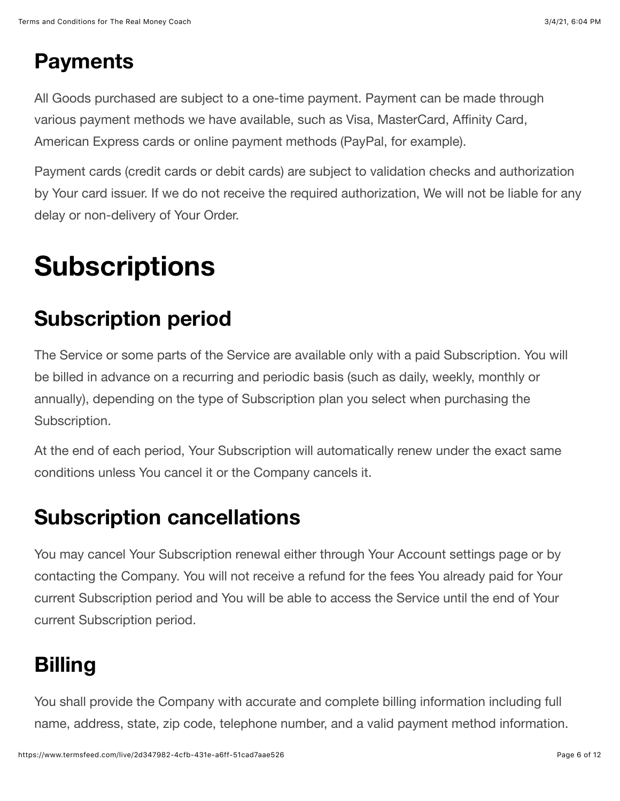#### **Payments**

All Goods purchased are subject to a one-time payment. Payment can be made through various payment methods we have available, such as Visa, MasterCard, Affinity Card, American Express cards or online payment methods (PayPal, for example).

Payment cards (credit cards or debit cards) are subject to validation checks and authorization by Your card issuer. If we do not receive the required authorization, We will not be liable for any delay or non-delivery of Your Order.

# **Subscriptions**

### **Subscription period**

The Service or some parts of the Service are available only with a paid Subscription. You will be billed in advance on a recurring and periodic basis (such as daily, weekly, monthly or annually), depending on the type of Subscription plan you select when purchasing the Subscription.

At the end of each period, Your Subscription will automatically renew under the exact same conditions unless You cancel it or the Company cancels it.

#### **Subscription cancellations**

You may cancel Your Subscription renewal either through Your Account settings page or by contacting the Company. You will not receive a refund for the fees You already paid for Your current Subscription period and You will be able to access the Service until the end of Your current Subscription period.

#### **Billing**

You shall provide the Company with accurate and complete billing information including full name, address, state, zip code, telephone number, and a valid payment method information.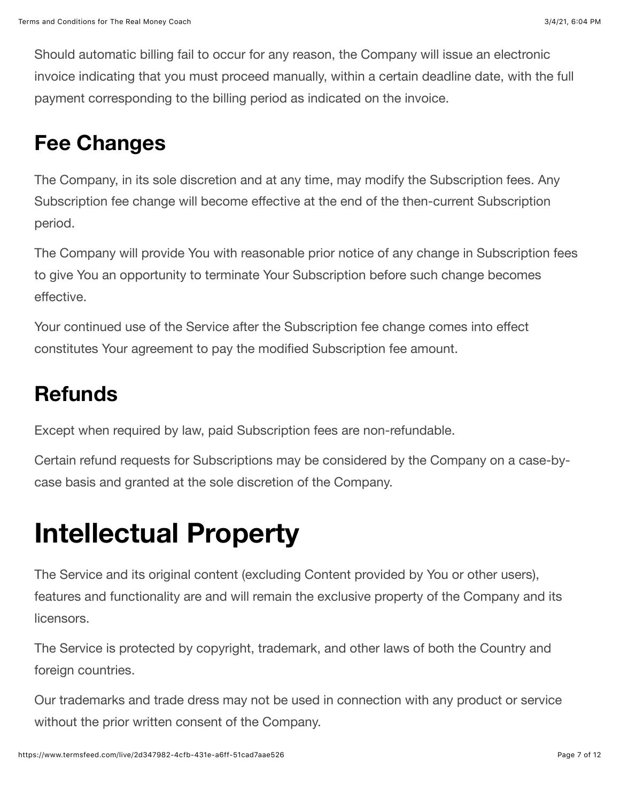Should automatic billing fail to occur for any reason, the Company will issue an electronic invoice indicating that you must proceed manually, within a certain deadline date, with the full payment corresponding to the billing period as indicated on the invoice.

#### **Fee Changes**

The Company, in its sole discretion and at any time, may modify the Subscription fees. Any Subscription fee change will become effective at the end of the then-current Subscription period.

The Company will provide You with reasonable prior notice of any change in Subscription fees to give You an opportunity to terminate Your Subscription before such change becomes effective.

Your continued use of the Service after the Subscription fee change comes into effect constitutes Your agreement to pay the modified Subscription fee amount.

#### **Refunds**

Except when required by law, paid Subscription fees are non-refundable.

Certain refund requests for Subscriptions may be considered by the Company on a case-bycase basis and granted at the sole discretion of the Company.

### **Intellectual Property**

The Service and its original content (excluding Content provided by You or other users), features and functionality are and will remain the exclusive property of the Company and its licensors.

The Service is protected by copyright, trademark, and other laws of both the Country and foreign countries.

Our trademarks and trade dress may not be used in connection with any product or service without the prior written consent of the Company.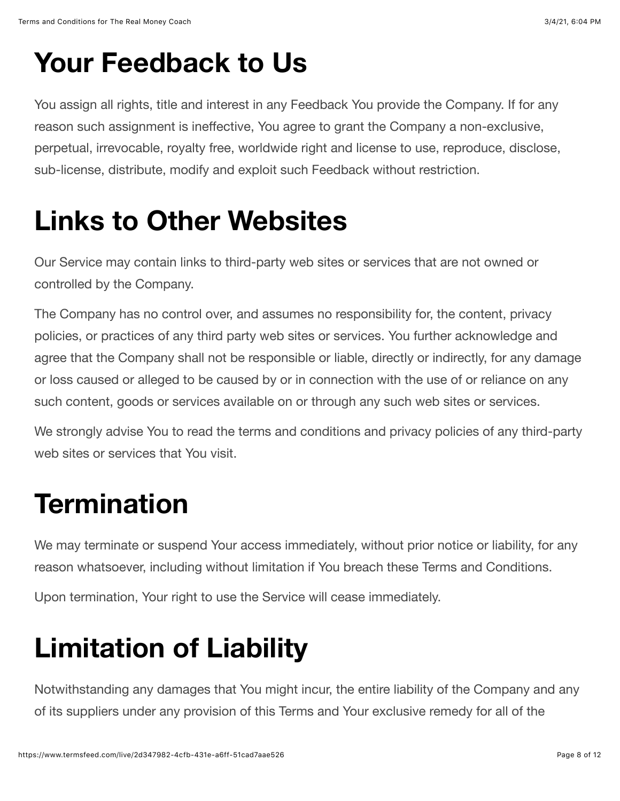## **Your Feedback to Us**

You assign all rights, title and interest in any Feedback You provide the Company. If for any reason such assignment is ineffective, You agree to grant the Company a non-exclusive, perpetual, irrevocable, royalty free, worldwide right and license to use, reproduce, disclose, sub-license, distribute, modify and exploit such Feedback without restriction.

## **Links to Other Websites**

Our Service may contain links to third-party web sites or services that are not owned or controlled by the Company.

The Company has no control over, and assumes no responsibility for, the content, privacy policies, or practices of any third party web sites or services. You further acknowledge and agree that the Company shall not be responsible or liable, directly or indirectly, for any damage or loss caused or alleged to be caused by or in connection with the use of or reliance on any such content, goods or services available on or through any such web sites or services.

We strongly advise You to read the terms and conditions and privacy policies of any third-party web sites or services that You visit.

## **Termination**

We may terminate or suspend Your access immediately, without prior notice or liability, for any reason whatsoever, including without limitation if You breach these Terms and Conditions.

Upon termination, Your right to use the Service will cease immediately.

# **Limitation of Liability**

Notwithstanding any damages that You might incur, the entire liability of the Company and any of its suppliers under any provision of this Terms and Your exclusive remedy for all of the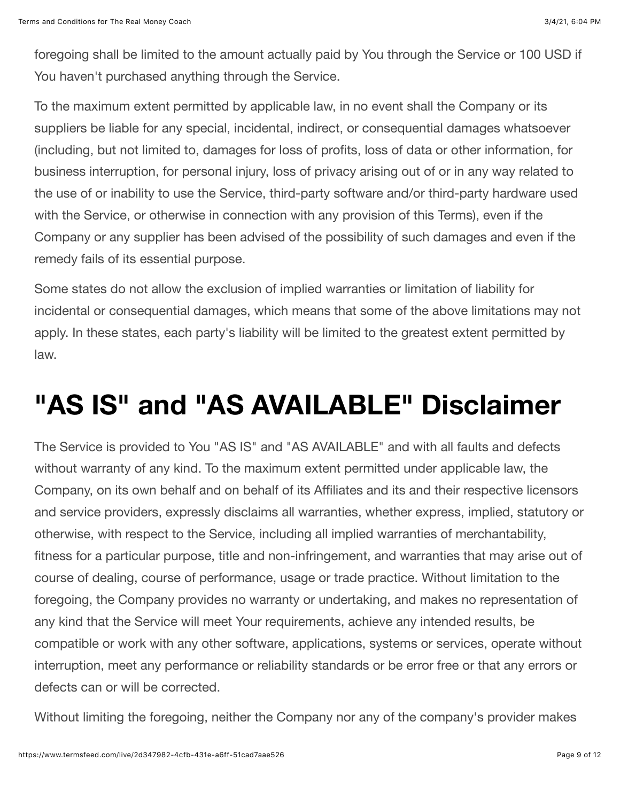foregoing shall be limited to the amount actually paid by You through the Service or 100 USD if You haven't purchased anything through the Service.

To the maximum extent permitted by applicable law, in no event shall the Company or its suppliers be liable for any special, incidental, indirect, or consequential damages whatsoever (including, but not limited to, damages for loss of profits, loss of data or other information, for business interruption, for personal injury, loss of privacy arising out of or in any way related to the use of or inability to use the Service, third-party software and/or third-party hardware used with the Service, or otherwise in connection with any provision of this Terms), even if the Company or any supplier has been advised of the possibility of such damages and even if the remedy fails of its essential purpose.

Some states do not allow the exclusion of implied warranties or limitation of liability for incidental or consequential damages, which means that some of the above limitations may not apply. In these states, each party's liability will be limited to the greatest extent permitted by law.

### **"AS IS" and "AS AVAILABLE" Disclaimer**

The Service is provided to You "AS IS" and "AS AVAILABLE" and with all faults and defects without warranty of any kind. To the maximum extent permitted under applicable law, the Company, on its own behalf and on behalf of its Affiliates and its and their respective licensors and service providers, expressly disclaims all warranties, whether express, implied, statutory or otherwise, with respect to the Service, including all implied warranties of merchantability, fitness for a particular purpose, title and non-infringement, and warranties that may arise out of course of dealing, course of performance, usage or trade practice. Without limitation to the foregoing, the Company provides no warranty or undertaking, and makes no representation of any kind that the Service will meet Your requirements, achieve any intended results, be compatible or work with any other software, applications, systems or services, operate without interruption, meet any performance or reliability standards or be error free or that any errors or defects can or will be corrected.

Without limiting the foregoing, neither the Company nor any of the company's provider makes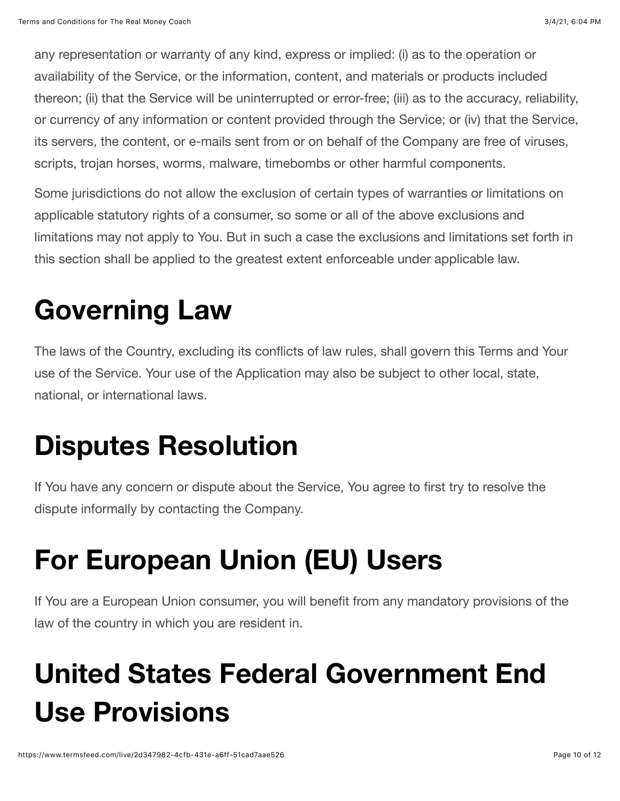any representation or warranty of any kind, express or implied: (i) as to the operation or availability of the Service, or the information, content, and materials or products included thereon; (ii) that the Service will be uninterrupted or error-free; (iii) as to the accuracy, reliability, or currency of any information or content provided through the Service; or (iv) that the Service, its servers, the content, or e-mails sent from or on behalf of the Company are free of viruses, scripts, trojan horses, worms, malware, timebombs or other harmful components.

Some jurisdictions do not allow the exclusion of certain types of warranties or limitations on applicable statutory rights of a consumer, so some or all of the above exclusions and limitations may not apply to You. But in such a case the exclusions and limitations set forth in this section shall be applied to the greatest extent enforceable under applicable law.

### **Governing Law**

The laws of the Country, excluding its conflicts of law rules, shall govern this Terms and Your use of the Service. Your use of the Application may also be subject to other local, state, national, or international laws.

## **Disputes Resolution**

If You have any concern or dispute about the Service, You agree to first try to resolve the dispute informally by contacting the Company.

# **For European Union (EU) Users**

If You are a European Union consumer, you will benefit from any mandatory provisions of the law of the country in which you are resident in.

# **United States Federal Government End Use Provisions**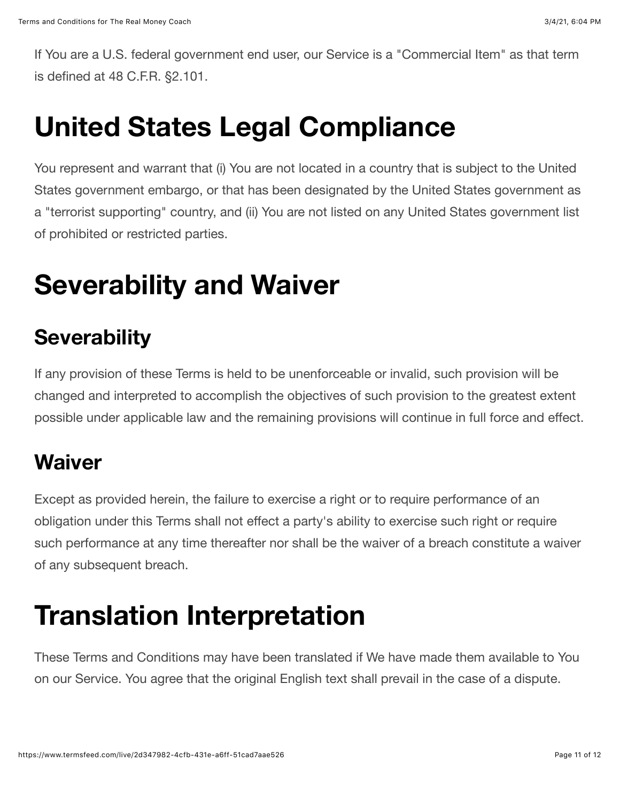If You are a U.S. federal government end user, our Service is a "Commercial Item" as that term is defined at 48 C.F.R. §2.101.

### **United States Legal Compliance**

You represent and warrant that (i) You are not located in a country that is subject to the United States government embargo, or that has been designated by the United States government as a "terrorist supporting" country, and (ii) You are not listed on any United States government list of prohibited or restricted parties.

## **Severability and Waiver**

#### **Severability**

If any provision of these Terms is held to be unenforceable or invalid, such provision will be changed and interpreted to accomplish the objectives of such provision to the greatest extent possible under applicable law and the remaining provisions will continue in full force and effect.

#### **Waiver**

Except as provided herein, the failure to exercise a right or to require performance of an obligation under this Terms shall not effect a party's ability to exercise such right or require such performance at any time thereafter nor shall be the waiver of a breach constitute a waiver of any subsequent breach.

### **Translation Interpretation**

These Terms and Conditions may have been translated if We have made them available to You on our Service. You agree that the original English text shall prevail in the case of a dispute.